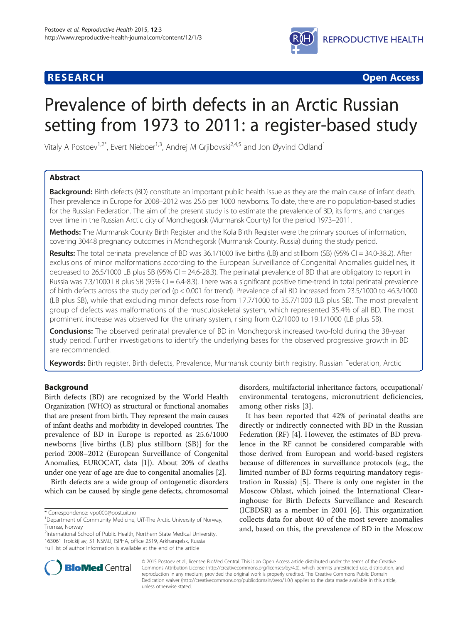# **RESEARCH CHEAR CHEAR CHEAR CHEAR CHEAR CHEAR CHEAR CHEAR CHEAR CHEAR CHEAR CHEAR CHEAR CHEAR CHEAR CHEAR CHEAR**



# Prevalence of birth defects in an Arctic Russian setting from 1973 to 2011: a register-based study

Vitaly A Postoev<sup>1,2\*</sup>, Evert Nieboer<sup>1,3</sup>, Andrej M Grjibovski<sup>2,4,5</sup> and Jon Øyvind Odland<sup>1</sup>

# Abstract

Background: Birth defects (BD) constitute an important public health issue as they are the main cause of infant death. Their prevalence in Europe for 2008–2012 was 25.6 per 1000 newborns. To date, there are no population-based studies for the Russian Federation. The aim of the present study is to estimate the prevalence of BD, its forms, and changes over time in the Russian Arctic city of Monchegorsk (Murmansk County) for the period 1973–2011.

Methods: The Murmansk County Birth Register and the Kola Birth Register were the primary sources of information, covering 30448 pregnancy outcomes in Monchegorsk (Murmansk County, Russia) during the study period.

Results: The total perinatal prevalence of BD was 36.1/1000 live births (LB) and stillborn (SB) (95% CI = 34.0-38.2). After exclusions of minor malformations according to the European Surveillance of Congenital Anomalies guidelines, it decreased to 26.5/1000 LB plus SB (95% CI = 24.6-28.3). The perinatal prevalence of BD that are obligatory to report in Russia was 7.3/1000 LB plus SB (95% CI = 6.4-8.3). There was a significant positive time-trend in total perinatal prevalence of birth defects across the study period (p < 0.001 for trend). Prevalence of all BD increased from 23.5/1000 to 46.3/1000 (LB plus SB), while that excluding minor defects rose from 17.7/1000 to 35.7/1000 (LB plus SB). The most prevalent group of defects was malformations of the musculoskeletal system, which represented 35.4% of all BD. The most prominent increase was observed for the urinary system, rising from 0.2/1000 to 19.1/1000 (LB plus SB).

Conclusions: The observed perinatal prevalence of BD in Monchegorsk increased two-fold during the 38-year study period. Further investigations to identify the underlying bases for the observed progressive growth in BD are recommended.

Keywords: Birth register, Birth defects, Prevalence, Murmansk county birth registry, Russian Federation, Arctic

# Background

Birth defects (BD) are recognized by the World Health Organization (WHO) as structural or functional anomalies that are present from birth. They represent the main causes of infant deaths and morbidity in developed countries. The prevalence of BD in Europe is reported as 25.6/1000 newborns [live births (LB) plus stillborn (SB)] for the period 2008–2012 (European Surveillance of Congenital Anomalies, EUROCAT, data [[1\]](#page-7-0)). About 20% of deaths under one year of age are due to congenital anomalies [[2\]](#page-7-0).

Birth defects are a wide group of ontogenetic disorders which can be caused by single gene defects, chromosomal

<sup>2</sup>International School of Public Health, Northern State Medical University, 163061 Troickij av, 51 NSMU, ISPHA, office 2519, Arkhangelsk, Russia Full list of author information is available at the end of the article

disorders, multifactorial inheritance factors, occupational/ environmental teratogens, micronutrient deficiencies, among other risks [[3](#page-7-0)].

It has been reported that 42% of perinatal deaths are directly or indirectly connected with BD in the Russian Federation (RF) [[4](#page-7-0)]. However, the estimates of BD prevalence in the RF cannot be considered comparable with those derived from European and world-based registers because of differences in surveillance protocols (e.g., the limited number of BD forms requiring mandatory registration in Russia) [\[5](#page-7-0)]. There is only one register in the Moscow Oblast, which joined the International Clearinghouse for Birth Defects Surveillance and Research (ICBDSR) as a member in 2001 [\[6](#page-7-0)]. This organization collects data for about 40 of the most severe anomalies and, based on this, the prevalence of BD in the Moscow



© 2015 Postoev et al.; licensee BioMed Central. This is an Open Access article distributed under the terms of the Creative Commons Attribution License [\(http://creativecommons.org/licenses/by/4.0\)](http://creativecommons.org/licenses/by/4.0), which permits unrestricted use, distribution, and reproduction in any medium, provided the original work is properly credited. The Creative Commons Public Domain Dedication waiver [\(http://creativecommons.org/publicdomain/zero/1.0/](http://creativecommons.org/publicdomain/zero/1.0/)) applies to the data made available in this article, unless otherwise stated.

<sup>\*</sup> Correspondence: [vpo000@post.uit.no](mailto:vpo000@post.uit.no) <sup>1</sup>

<sup>&</sup>lt;sup>1</sup>Department of Community Medicine, UiT-The Arctic University of Norway, Tromsø, Norway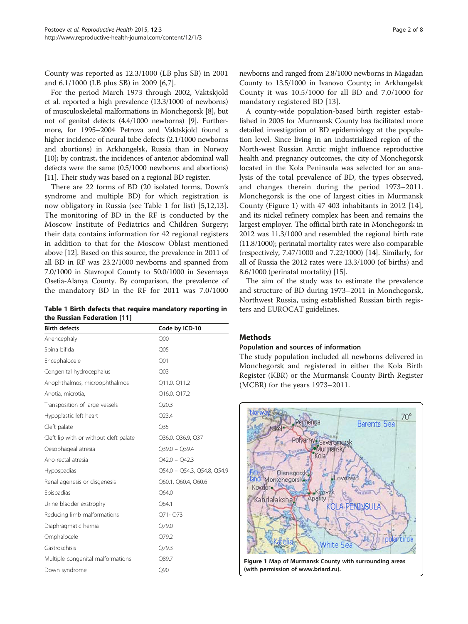<span id="page-1-0"></span>County was reported as 12.3/1000 (LB plus SB) in 2001 and 6.1/1000 (LB plus SB) in 2009 [\[6,7](#page-7-0)].

For the period March 1973 through 2002, Vaktskjold et al. reported a high prevalence (13.3/1000 of newborns) of musculoskeletal malformations in Monchegorsk [\[8](#page-7-0)], but not of genital defects (4.4/1000 newborns) [[9\]](#page-7-0). Furthermore, for 1995–2004 Petrova and Vaktskjold found a higher incidence of neural tube defects (2.1/1000 newborns and abortions) in Arkhangelsk, Russia than in Norway [[10](#page-7-0)]; by contrast, the incidences of anterior abdominal wall defects were the same (0.5/1000 newborns and abortions) [[11](#page-7-0)]. Their study was based on a regional BD register.

There are 22 forms of BD (20 isolated forms, Down's syndrome and multiple BD) for which registration is now obligatory in Russia (see Table 1 for list) [[5,12,13](#page-7-0)]. The monitoring of BD in the RF is conducted by the Moscow Institute of Pediatrics and Children Surgery; their data contains information for 42 regional registers in addition to that for the Moscow Oblast mentioned above [\[12](#page-7-0)]. Based on this source, the prevalence in 2011 of all BD in RF was 23.2/1000 newborns and spanned from 7.0/1000 in Stavropol County to 50.0/1000 in Severnaya Osetia-Alanya County. By comparison, the prevalence of the mandatory BD in the RF for 2011 was 7.0/1000

Table 1 Birth defects that require mandatory reporting in the Russian Federation [[11\]](#page-7-0)

| <b>Birth defects</b>                   | Code by ICD-10              |  |  |  |
|----------------------------------------|-----------------------------|--|--|--|
| Anencephaly                            | Q <sub>00</sub>             |  |  |  |
| Spina bifida                           | Q05                         |  |  |  |
| Encephalocele                          | Q <sub>01</sub>             |  |  |  |
| Congenital hydrocephalus               | Q <sub>03</sub>             |  |  |  |
| Anophthalmos, microophthalmos          | Q11.0, Q11.2                |  |  |  |
| Anotia, microtia,                      | Q16.0, Q17.2                |  |  |  |
| Transposition of large vessels         | Q20.3                       |  |  |  |
| Hypoplastic left heart                 | Q23.4                       |  |  |  |
| Cleft palate                           | Q35                         |  |  |  |
| Cleft lip with or without cleft palate | Q36.0, Q36.9, Q37           |  |  |  |
| Oesophageal atresia                    | $Q39.0 - Q39.4$             |  |  |  |
| Ano-rectal atresia                     | $Q42.0 - Q42.3$             |  |  |  |
| Hypospadias                            | Q54.0 - Q54.3, Q54.8, Q54.9 |  |  |  |
| Renal agenesis or disgenesis           | Q60.1, Q60.4, Q60.6         |  |  |  |
| Epispadias                             | Q64.0                       |  |  |  |
| Urine bladder exstrophy                | Q64.1                       |  |  |  |
| Reducing limb malformations            | Q71-Q73                     |  |  |  |
| Diaphragmatic hernia                   | Q79.0                       |  |  |  |
| Omphalocele                            | O79.2                       |  |  |  |
| Gastroschisis                          | O79.3                       |  |  |  |
| Multiple congenital malformations      | Q89.7                       |  |  |  |
| Down syndrome                          | Q90                         |  |  |  |

newborns and ranged from 2.8/1000 newborns in Magadan County to 13.5/1000 in Ivanovo County; in Arkhangelsk County it was 10.5/1000 for all BD and 7.0/1000 for mandatory registered BD [[13](#page-7-0)].

A county-wide population-based birth register established in 2005 for Murmansk County has facilitated more detailed investigation of BD epidemiology at the population level. Since living in an industrialized region of the North-west Russian Arctic might influence reproductive health and pregnancy outcomes, the city of Monchegorsk located in the Kola Peninsula was selected for an analysis of the total prevalence of BD, the types observed, and changes therein during the period 1973–2011. Monchegorsk is the one of largest cities in Murmansk County (Figure 1) with 47 403 inhabitants in 2012 [\[14](#page-7-0)], and its nickel refinery complex has been and remains the largest employer. The official birth rate in Monchegorsk in 2012 was 11.3/1000 and resembled the regional birth rate (11.8/1000); perinatal mortality rates were also comparable (respectively, 7.47/1000 and 7.22/1000) [[14](#page-7-0)]. Similarly, for all of Russia the 2012 rates were 13.3/1000 (of births) and 8.6/1000 (perinatal mortality) [\[15](#page-7-0)].

The aim of the study was to estimate the prevalence and structure of BD during 1973–2011 in Monchegorsk, Northwest Russia, using established Russian birth registers and EUROCAT guidelines.

# Methods

## Population and sources of information

The study population included all newborns delivered in Monchegorsk and registered in either the Kola Birth Register (KBR) or the Murmansk County Birth Register (MCBR) for the years 1973–2011.

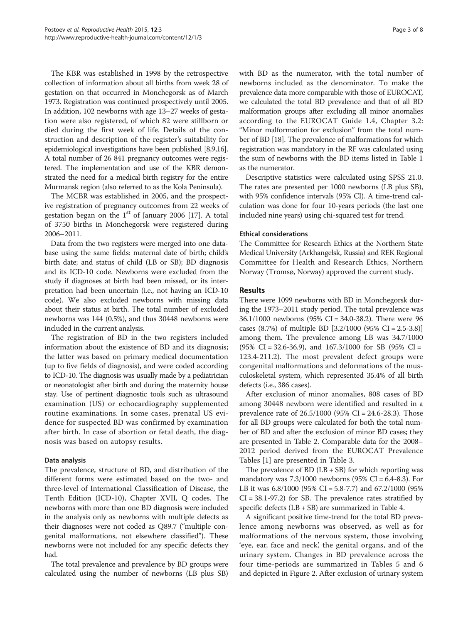The KBR was established in 1998 by the retrospective collection of information about all births from week 28 of gestation on that occurred in Monchegorsk as of March 1973. Registration was continued prospectively until 2005. In addition, 102 newborns with age 13–27 weeks of gestation were also registered, of which 82 were stillborn or died during the first week of life. Details of the construction and description of the register's suitability for epidemiological investigations have been published [[8,9,16](#page-7-0)]. A total number of 26 841 pregnancy outcomes were registered. The implementation and use of the KBR demonstrated the need for a medical birth registry for the entire Murmansk region (also referred to as the Kola Peninsula).

The MCBR was established in 2005, and the prospective registration of pregnancy outcomes from 22 weeks of gestation began on the  $1<sup>st</sup>$  of January 2006 [\[17](#page-7-0)]. A total of 3750 births in Monchegorsk were registered during 2006–2011.

Data from the two registers were merged into one database using the same fields: maternal date of birth; child's birth date; and status of child (LB or SB); BD diagnosis and its ICD-10 code. Newborns were excluded from the study if diagnoses at birth had been missed, or its interpretation had been uncertain (i.e., not having an ICD-10 code). We also excluded newborns with missing data about their status at birth. The total number of excluded newborns was 144 (0.5%), and thus 30448 newborns were included in the current analysis.

The registration of BD in the two registers included information about the existence of BD and its diagnosis; the latter was based on primary medical documentation (up to five fields of diagnosis), and were coded according to ICD-10. The diagnosis was usually made by a pediatrician or neonatologist after birth and during the maternity house stay. Use of pertinent diagnostic tools such as ultrasound examination (US) or echocardiography supplemented routine examinations. In some cases, prenatal US evidence for suspected BD was confirmed by examination after birth. In case of abortion or fetal death, the diagnosis was based on autopsy results.

# Data analysis

The prevalence, structure of BD, and distribution of the different forms were estimated based on the two- and three-level of International Classification of Disease, the Tenth Edition (ICD-10), Chapter XVII, Q codes. The newborns with more than one BD diagnosis were included in the analysis only as newborns with multiple defects as their diagnoses were not coded as Q89.7 ("multiple congenital malformations, not elsewhere classified"). These newborns were not included for any specific defects they had.

The total prevalence and prevalence by BD groups were calculated using the number of newborns (LB plus SB)

with BD as the numerator, with the total number of newborns included as the denominator. To make the prevalence data more comparable with those of EUROCAT, we calculated the total BD prevalence and that of all BD malformation groups after excluding all minor anomalies according to the EUROCAT Guide 1.4, Chapter 3.2: "Minor malformation for exclusion" from the total number of BD [[18\]](#page-7-0). The prevalence of malformations for which registration was mandatory in the RF was calculated using the sum of newborns with the BD items listed in Table [1](#page-1-0) as the numerator.

Descriptive statistics were calculated using SPSS 21.0. The rates are presented per 1000 newborns (LB plus SB), with 95% confidence intervals (95% CI). A time-trend calculation was done for four 10-years periods (the last one included nine years) using chi-squared test for trend.

# Ethical considerations

The Committee for Research Ethics at the Northern State Medical University (Arkhangelsk, Russia) and REK Regional Committee for Health and Research Ethics, Northern Norway (Tromsø, Norway) approved the current study.

# Results

There were 1099 newborns with BD in Monchegorsk during the 1973–2011 study period. The total prevalence was 36.1/1000 newborns (95% CI = 34.0-38.2). There were 96 cases (8.7%) of multiple BD [3.2/1000 (95% CI = 2.5-3.8)] among them. The prevalence among LB was 34.7/1000  $(95\% \text{ CI} = 32.6 - 36.9)$ , and  $167.3/1000$  for SB  $(95\% \text{ CI} =$ 123.4-211.2). The most prevalent defect groups were congenital malformations and deformations of the musculoskeletal system, which represented 35.4% of all birth defects (i.e., 386 cases).

After exclusion of minor anomalies, 808 cases of BD among 30448 newborn were identified and resulted in a prevalence rate of 26.5/1000 (95% CI = 24.6-28.3). Those for all BD groups were calculated for both the total number of BD and after the exclusion of minor BD cases; they are presented in Table [2](#page-3-0). Comparable data for the 2008– 2012 period derived from the EUROCAT Prevalence Tables [\[1](#page-7-0)] are presented in Table [3](#page-3-0).

The prevalence of  $BD$  ( $LB + SB$ ) for which reporting was mandatory was  $7.3/1000$  newborns (95% CI = 6.4-8.3). For LB it was 6.8/1000 (95% CI = 5.8-7.7) and 67.2/1000 (95%  $CI = 38.1 - 97.2$  for SB. The prevalence rates stratified by specific defects (LB + SB) are summarized in Table [4](#page-4-0).

A significant positive time-trend for the total BD prevalence among newborns was observed, as well as for malformations of the nervous system, those involving 'eye, ear, face and neck', the genital organs, and of the urinary system. Changes in BD prevalence across the four time-periods are summarized in Tables [5](#page-4-0) and [6](#page-5-0) and depicted in Figure [2.](#page-6-0) After exclusion of urinary system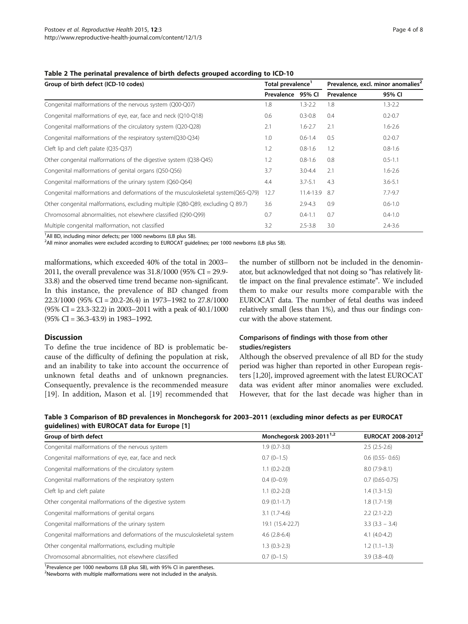| Group of birth defect (ICD-10 codes)                                             |                   | Total prevalence <sup>1</sup> | Prevalence, excl. minor anomalies <sup>2</sup> |             |
|----------------------------------------------------------------------------------|-------------------|-------------------------------|------------------------------------------------|-------------|
|                                                                                  | Prevalence 95% CI |                               | Prevalence                                     | 95% CI      |
| Congenital malformations of the nervous system (Q00-Q07)                         | 1.8               | $1.3 - 2.2$                   | 1.8                                            | $1.3 - 2.2$ |
| Congenital malformations of eye, ear, face and neck (Q10-Q18)                    | 0.6               | $0.3 - 0.8$                   | 0.4                                            | $0.2 - 0.7$ |
| Congenital malformations of the circulatory system (Q20-Q28)                     | 2.1               | $1.6 - 2.7$                   | 2.1                                            | $1.6 - 2.6$ |
| Congenital malformations of the respiratory system(Q30-Q34)                      | 1.0               | $0.6 - 1.4$                   | 0.5                                            | $0.2 - 0.7$ |
| Cleft lip and cleft palate (Q35-Q37)                                             | 1.2               | $0.8 - 1.6$                   | 1.2                                            | $0.8 - 1.6$ |
| Other congenital malformations of the digestive system (Q38-Q45)                 | 1.2               | $0.8 - 1.6$                   | 0.8                                            | $0.5 - 1.1$ |
| Congenital malformations of genital organs (Q50-Q56)                             | 3.7               | $3.0 - 4.4$                   | 2.1                                            | $1.6 - 2.6$ |
| Congenital malformations of the urinary system (Q60-Q64)                         | 4.4               | $3.7 - 5.1$                   | 4.3                                            | $3.6 - 5.1$ |
| Congenital malformations and deformations of the musculoskeletal system(Q65-Q79) | 12.7              | 11.4-13.9                     | 8.7                                            | $7.7 - 9.7$ |
| Other congenital malformations, excluding multiple (Q80-Q89, excluding Q 89.7)   | 3.6               | $2.9 - 4.3$                   | 0.9                                            | $0.6 - 1.0$ |
| Chromosomal abnormalities, not elsewhere classified (Q90-Q99)                    | 0.7               | $0.4 - 1.1$                   | 0.7                                            | $0.4 - 1.0$ |
| Multiple congenital malformation, not classified                                 | 3.2               | $2.5 - 3.8$                   | 3.0                                            | $2.4 - 3.6$ |

#### <span id="page-3-0"></span>Table 2 The perinatal prevalence of birth defects grouped according to ICD-10

<sup>1</sup>All BD, including minor defects; per 1000 newborns (LB plus SB).

 $^2$ All minor anomalies were excluded according to EUROCAT guidelines; per 1000 newborns (LB plus SB).

malformations, which exceeded 40% of the total in 2003– 2011, the overall prevalence was 31.8/1000 (95% CI = 29.9- 33.8) and the observed time trend became non-significant. In this instance, the prevalence of BD changed from 22.3/1000 (95% CI = 20.2-26.4) in 1973–1982 to 27.8/1000 (95% CI = 23.3-32.2) in 2003–2011 with a peak of 40.1/1000 (95% CI = 36.3-43.9) in 1983–1992.

# **Discussion**

To define the true incidence of BD is problematic because of the difficulty of defining the population at risk, and an inability to take into account the occurrence of unknown fetal deaths and of unknown pregnancies. Consequently, prevalence is the recommended measure [[19\]](#page-7-0). In addition, Mason et al. [\[19](#page-7-0)] recommended that

the number of stillborn not be included in the denominator, but acknowledged that not doing so "has relatively little impact on the final prevalence estimate". We included them to make our results more comparable with the EUROCAT data. The number of fetal deaths was indeed relatively small (less than 1%), and thus our findings concur with the above statement.

# Comparisons of findings with those from other studies/registers

Although the observed prevalence of all BD for the study period was higher than reported in other European registers [\[1,20\]](#page-7-0), improved agreement with the latest EUROCAT data was evident after minor anomalies were excluded. However, that for the last decade was higher than in

| Table 3 Comparison of BD prevalences in Monchegorsk for 2003-2011 (excluding minor defects as per EUROCAT |  |  |
|-----------------------------------------------------------------------------------------------------------|--|--|
| quidelines) with EUROCAT data for Europe [1]                                                              |  |  |

| Group of birth defect                                                   | Monchegorsk 2003-2011 <sup>1,2</sup> | EUROCAT 2008-2012 <sup>2</sup> |
|-------------------------------------------------------------------------|--------------------------------------|--------------------------------|
| Congenital malformations of the nervous system                          | $1.9(0.7-3.0)$                       | $2.5(2.5-2.6)$                 |
| Congenital malformations of eye, ear, face and neck                     | $0.7(0-1.5)$                         | $0.6$ (0.55 - 0.65)            |
| Congenital malformations of the circulatory system                      | $1.1(0.2-2.0)$                       | $8.0(7.9-8.1)$                 |
| Congenital malformations of the respiratory system                      | $0.4(0-0.9)$                         | $0.7(0.65 - 0.75)$             |
| Cleft lip and cleft palate                                              | $1.1(0.2-2.0)$                       | $1.4(1.3-1.5)$                 |
| Other congenital malformations of the digestive system                  | $0.9(0.1-1.7)$                       | $1.8(1.7-1.9)$                 |
| Congenital malformations of genital organs                              | $3.1(1.7-4.6)$                       | $2.2(2.1-2.2)$                 |
| Congenital malformations of the urinary system                          | 19.1 (15.4-22.7)                     | $3.3(3.3 - 3.4)$               |
| Congenital malformations and deformations of the musculoskeletal system | $4.6(2.8-6.4)$                       | $4.1(4.0-4.2)$                 |
| Other congenital malformations, excluding multiple                      | $1.3(0.3-2.3)$                       | $1.2(1.1-1.3)$                 |
| Chromosomal abnormalities, not elsewhere classified                     | $0.7(0-1.5)$                         | $3.9(3.8-4.0)$                 |

<sup>1</sup>Prevalence per 1000 newborns (LB plus SB), with 95% CI in parentheses.

<sup>2</sup>Newborns with multiple malformations were not included in the analysis.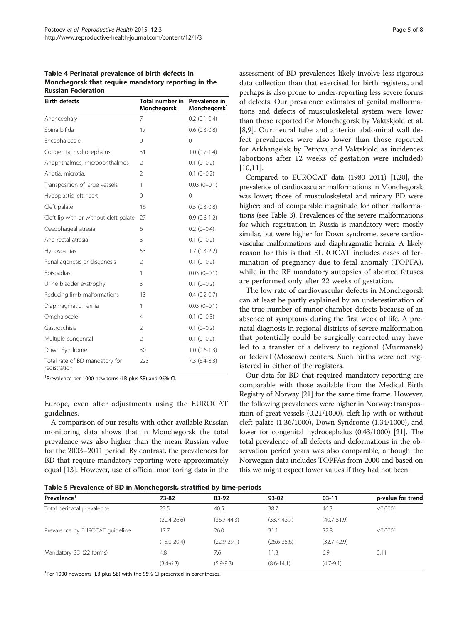<span id="page-4-0"></span>Table 4 Perinatal prevalence of birth defects in Monchegorsk that require mandatory reporting in the Russian Federation

| <b>Birth defects</b>                           | Total number in<br>Monchegorsk | Prevalence in<br>Monchegorsk <sup>1</sup> |
|------------------------------------------------|--------------------------------|-------------------------------------------|
| Anencephaly                                    | 7                              | $0.2$ (0.1-0.4)                           |
| Spina bifida                                   | 17                             | $0.6(0.3-0.8)$                            |
| Encephalocele                                  | $\Omega$                       | $\Omega$                                  |
| Congenital hydrocephalus                       | 31                             | $1.0(0.7-1.4)$                            |
| Anophthalmos, microophthalmos                  | $\overline{2}$                 | $0.1$ $(0-0.2)$                           |
| Anotia, microtia,                              | $\overline{2}$                 | $0.1$ (0-0.2)                             |
| Transposition of large vessels                 | 1                              | $0.03(0-0.1)$                             |
| Hypoplastic left heart                         | 0                              | $\Omega$                                  |
| Cleft palate                                   | 16                             | $0.5(0.3-0.8)$                            |
| Cleft lip with or without cleft palate         | 27                             | $0.9(0.6-1.2)$                            |
| Oesophageal atresia                            | 6                              | $0.2(0-0.4)$                              |
| Ano-rectal atresia                             | 3                              | $0.1$ $(0-0.2)$                           |
| Hypospadias                                    | 53                             | $1.7(1.3-2.2)$                            |
| Renal agenesis or disgenesis                   | $\overline{2}$                 | $0.1 (0 - 0.2)$                           |
| Epispadias                                     | 1                              | $0.03(0-0.1)$                             |
| Urine bladder exstrophy                        | 3                              | $0.1(0-0.2)$                              |
| Reducing limb malformations                    | 13                             | $0.4(0.2-0.7)$                            |
| Diaphragmatic hernia                           | 1                              | $0.03(0-0.1)$                             |
| Omphalocele                                    | 4                              | $0.1$ (0-0.3)                             |
| Gastroschisis                                  | $\overline{2}$                 | $0.1 (0 - 0.2)$                           |
| Multiple congenital                            | $\overline{2}$                 | $0.1 (0 - 0.2)$                           |
| Down Syndrome                                  | 30                             | $1.0(0.6-1.3)$                            |
| Total rate of BD mandatory for<br>registration | 223                            | $7.3(6.4-8.3)$                            |

<sup>1</sup> Prevalence per 1000 newborns (LB plus SB) and 95% CI.

Europe, even after adjustments using the EUROCAT guidelines.

A comparison of our results with other available Russian monitoring data shows that in Monchegorsk the total prevalence was also higher than the mean Russian value for the 2003–2011 period. By contrast, the prevalences for BD that require mandatory reporting were approximately equal [\[13\]](#page-7-0). However, use of official monitoring data in the

assessment of BD prevalences likely involve less rigorous data collection than that exercised for birth registers, and perhaps is also prone to under-reporting less severe forms of defects. Our prevalence estimates of genital malformations and defects of musculoskeletal system were lower than those reported for Monchegorsk by Vaktskjold et al. [[8,9](#page-7-0)]. Our neural tube and anterior abdominal wall defect prevalences were also lower than those reported for Arkhangelsk by Petrova and Vaktskjold as incidences (abortions after 12 weeks of gestation were included) [[10,11](#page-7-0)].

Compared to EUROCAT data (1980–2011) [\[1,20](#page-7-0)], the prevalence of cardiovascular malformations in Monchegorsk was lower; those of musculoskeletal and urinary BD were higher; and of comparable magnitude for other malformations (see Table [3\)](#page-3-0). Prevalences of the severe malformations for which registration in Russia is mandatory were mostly similar, but were higher for Down syndrome, severe cardiovascular malformations and diaphragmatic hernia. A likely reason for this is that EUROCAT includes cases of termination of pregnancy due to fetal anomaly (TOPFA), while in the RF mandatory autopsies of aborted fetuses are performed only after 22 weeks of gestation.

The low rate of cardiovascular defects in Monchegorsk can at least be partly explained by an underestimation of the true number of minor chamber defects because of an absence of symptoms during the first week of life. A prenatal diagnosis in regional districts of severe malformation that potentially could be surgically corrected may have led to a transfer of a delivery to regional (Murmansk) or federal (Moscow) centers. Such births were not registered in either of the registers.

Our data for BD that required mandatory reporting are comparable with those available from the Medical Birth Registry of Norway [\[21\]](#page-7-0) for the same time frame. However, the following prevalences were higher in Norway: transposition of great vessels (0.21/1000), cleft lip with or without cleft palate (1.36/1000), Down Syndrome (1.34/1000), and lower for congenital hydrocephalus (0.43/1000) [\[21\]](#page-7-0). The total prevalence of all defects and deformations in the observation period years was also comparable, although the Norwegian data includes TOPFAs from 2000 and based on this we might expect lower values if they had not been.

Table 5 Prevalence of BD in Monchegorsk, stratified by time-periods

| Prevalence <sup>1</sup>         | 73-82           | 83-92           | 93-02           | $03-11$         | p-value for trend |
|---------------------------------|-----------------|-----------------|-----------------|-----------------|-------------------|
| Total perinatal prevalence      | 23.5            | 40.5            | 38.7            | 46.3            | < 0.0001          |
|                                 | $(20.4 - 26.6)$ | $(36.7 - 44.3)$ | $(33.7 - 43.7)$ | $(40.7 - 51.9)$ |                   |
| Prevalence by EUROCAT guideline | 17.7            | 26.0            | 31.1            | 37.8            | < 0.0001          |
|                                 | $(15.0 - 20.4)$ | $(22.9 - 29.1)$ | $(26.6 - 35.6)$ | $(32.7 - 42.9)$ |                   |
| Mandatory BD (22 forms)         | 4.8             | 7.6             | 11.3            | 6.9             | 0.11              |
|                                 | $(3.4 - 6.3)$   | $(5.9-9.3)$     | $(8.6 - 14.1)$  | $(4.7-9.1)$     |                   |

<sup>1</sup>Per 1000 newborns (LB plus SB) with the 95% CI presented in parentheses.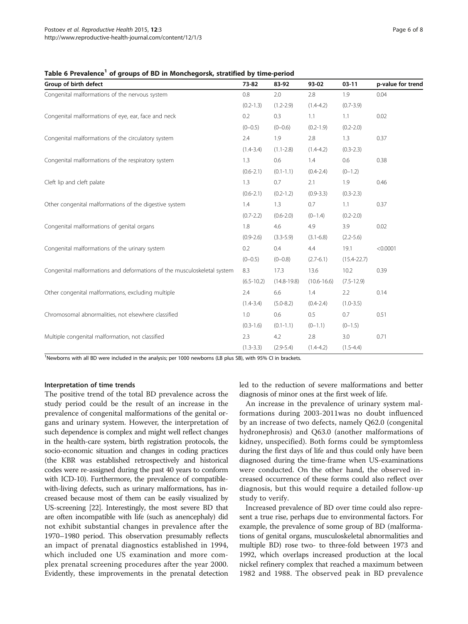| Group of birth defect                                                   | 73-82          | 83-92           | 93-02           | $03-11$         | p-value for trend |
|-------------------------------------------------------------------------|----------------|-----------------|-----------------|-----------------|-------------------|
| Congenital malformations of the nervous system                          | 0.8            | 2.0             | 2.8             | 1.9             | 0.04              |
|                                                                         | $(0.2 - 1.3)$  | $(1.2 - 2.9)$   | $(1.4 - 4.2)$   | $(0.7 - 3.9)$   |                   |
| Congenital malformations of eye, ear, face and neck                     | 0.2            | 0.3             | 1.1             | 1.1             | 0.02              |
|                                                                         | $(0 - 0.5)$    | $(0-0.6)$       | $(0.2 - 1.9)$   | $(0.2 - 2.0)$   |                   |
| Congenital malformations of the circulatory system                      | 2.4            | 1.9             | 2.8             | 1.3             | 0.37              |
|                                                                         | $(1.4 - 3.4)$  | $(1.1 - 2.8)$   | $(1.4 - 4.2)$   | $(0.3 - 2.3)$   |                   |
| Congenital malformations of the respiratory system                      | 1.3            | 0.6             | 1.4             | 0.6             | 0.38              |
|                                                                         | $(0.6 - 2.1)$  | $(0.1 - 1.1)$   | $(0.4 - 2.4)$   | $(0-1.2)$       |                   |
| Cleft lip and cleft palate                                              | 1.3            | 0.7             | 2.1             | 1.9             | 0.46              |
|                                                                         | $(0.6 - 2.1)$  | $(0.2 - 1.2)$   | $(0.9 - 3.3)$   | $(0.3 - 2.3)$   |                   |
| Other congenital malformations of the digestive system                  | 1.4            | 1.3             | 0.7             | 1.1             | 0.37              |
|                                                                         | $(0.7 - 2.2)$  | $(0.6 - 2.0)$   | $(0-1.4)$       | $(0.2 - 2.0)$   |                   |
| Congenital malformations of genital organs                              | 1.8            | 4.6             | 4.9             | 3.9             | 0.02              |
|                                                                         | $(0.9 - 2.6)$  | $(3.3 - 5.9)$   | $(3.1 - 6.8)$   | $(2.2 - 5.6)$   |                   |
| Congenital malformations of the urinary system                          | 0.2            | 0.4             | 4.4             | 19.1            | < 0.0001          |
|                                                                         | $(0 - 0.5)$    | $(0-0.8)$       | $(2.7-6.1)$     | $(15.4 - 22.7)$ |                   |
| Congenital malformations and deformations of the musculoskeletal system | 8.3            | 17.3            | 13.6            | 10.2            | 0.39              |
|                                                                         | $(6.5 - 10.2)$ | $(14.8 - 19.8)$ | $(10.6 - 16.6)$ | $(7.5 - 12.9)$  |                   |
| Other congenital malformations, excluding multiple                      | 2.4            | 6.6             | 1.4             | 2.2             | 0.14              |
|                                                                         | $(1.4 - 3.4)$  | $(5.0 - 8.2)$   | $(0.4 - 2.4)$   | $(1.0 - 3.5)$   |                   |
| Chromosomal abnormalities, not elsewhere classified                     | 1.0            | 0.6             | 0.5             | 0.7             | 0.51              |
|                                                                         | $(0.3 - 1.6)$  | $(0.1 - 1.1)$   | $(0-1.1)$       | $(0-1.5)$       |                   |
| Multiple congenital malformation, not classified                        | 2.3            | 4.2             | 2.8             | 3.0             | 0.71              |
|                                                                         | $(1.3 - 3.3)$  | $(2.9 - 5.4)$   | $(1.4 - 4.2)$   | $(1.5 - 4.4)$   |                   |

<span id="page-5-0"></span>Table 6 Prevalence<sup>1</sup> of groups of BD in Monchegorsk, stratified by time-period

<sup>1</sup>Newborns with all BD were included in the analysis; per 1000 newborns (LB plus SB), with 95% CI in brackets.

#### Interpretation of time trends

The positive trend of the total BD prevalence across the study period could be the result of an increase in the prevalence of congenital malformations of the genital organs and urinary system. However, the interpretation of such dependence is complex and might well reflect changes in the health-care system, birth registration protocols, the socio-economic situation and changes in coding practices (the KBR was established retrospectively and historical codes were re-assigned during the past 40 years to conform with ICD-10). Furthermore, the prevalence of compatiblewith-living defects, such as urinary malformations, has increased because most of them can be easily visualized by US-screening [\[22\]](#page-7-0). Interestingly, the most severe BD that are often incompatible with life (such as anencephaly) did not exhibit substantial changes in prevalence after the 1970–1980 period. This observation presumably reflects an impact of prenatal diagnostics established in 1994, which included one US examination and more complex prenatal screening procedures after the year 2000. Evidently, these improvements in the prenatal detection

led to the reduction of severe malformations and better diagnosis of minor ones at the first week of life.

An increase in the prevalence of urinary system malformations during 2003-2011was no doubt influenced by an increase of two defects, namely Q62.0 (congenital hydronephrosis) and Q63.0 (another malformations of kidney, unspecified). Both forms could be symptomless during the first days of life and thus could only have been diagnosed during the time-frame when US-examinations were conducted. On the other hand, the observed increased occurrence of these forms could also reflect over diagnosis, but this would require a detailed follow-up study to verify.

Increased prevalence of BD over time could also represent a true rise, perhaps due to environmental factors. For example, the prevalence of some group of BD (malformations of genital organs, musculoskeletal abnormalities and multiple BD) rose two- to three-fold between 1973 and 1992, which overlaps increased production at the local nickel refinery complex that reached a maximum between 1982 and 1988. The observed peak in BD prevalence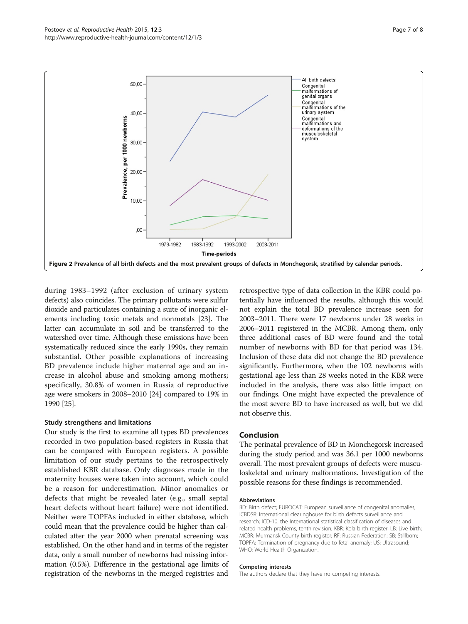<span id="page-6-0"></span>

during 1983–1992 (after exclusion of urinary system defects) also coincides. The primary pollutants were sulfur dioxide and particulates containing a suite of inorganic elements including toxic metals and nonmetals [\[23\]](#page-7-0). The latter can accumulate in soil and be transferred to the watershed over time. Although these emissions have been systematically reduced since the early 1990s, they remain substantial. Other possible explanations of increasing BD prevalence include higher maternal age and an increase in alcohol abuse and smoking among mothers; specifically, 30.8% of women in Russia of reproductive age were smokers in 2008–2010 [\[24\]](#page-7-0) compared to 19% in 1990 [[25](#page-7-0)].

## Study strengthens and limitations

Our study is the first to examine all types BD prevalences recorded in two population-based registers in Russia that can be compared with European registers. A possible limitation of our study pertains to the retrospectively established KBR database. Only diagnoses made in the maternity houses were taken into account, which could be a reason for underestimation. Minor anomalies or defects that might be revealed later (e.g., small septal heart defects without heart failure) were not identified. Neither were TOPFAs included in either database, which could mean that the prevalence could be higher than calculated after the year 2000 when prenatal screening was established. On the other hand and in terms of the register data, only a small number of newborns had missing information (0.5%). Difference in the gestational age limits of registration of the newborns in the merged registries and

retrospective type of data collection in the KBR could potentially have influenced the results, although this would not explain the total BD prevalence increase seen for 2003–2011. There were 17 newborns under 28 weeks in 2006–2011 registered in the MCBR. Among them, only three additional cases of BD were found and the total number of newborns with BD for that period was 134. Inclusion of these data did not change the BD prevalence significantly. Furthermore, when the 102 newborns with gestational age less than 28 weeks noted in the KBR were included in the analysis, there was also little impact on our findings. One might have expected the prevalence of the most severe BD to have increased as well, but we did not observe this.

#### Conclusion

The perinatal prevalence of BD in Monchegorsk increased during the study period and was 36.1 per 1000 newborns overall. The most prevalent groups of defects were musculoskeletal and urinary malformations. Investigation of the possible reasons for these findings is recommended.

#### **Abbreviations**

BD: Birth defect; EUROCAT: European surveillance of congenital anomalies; ICBDSR: International clearinghouse for birth defects surveillance and research; ICD-10: the International statistical classification of diseases and related health problems, tenth revision; KBR: Kola birth register; LB: Live birth; MCBR: Murmansk County birth register; RF: Russian Federation; SB: Stillborn; TOPFA: Termination of pregnancy due to fetal anomaly; US: Ultrasound; WHO: World Health Organization.

#### Competing interests

The authors declare that they have no competing interests.